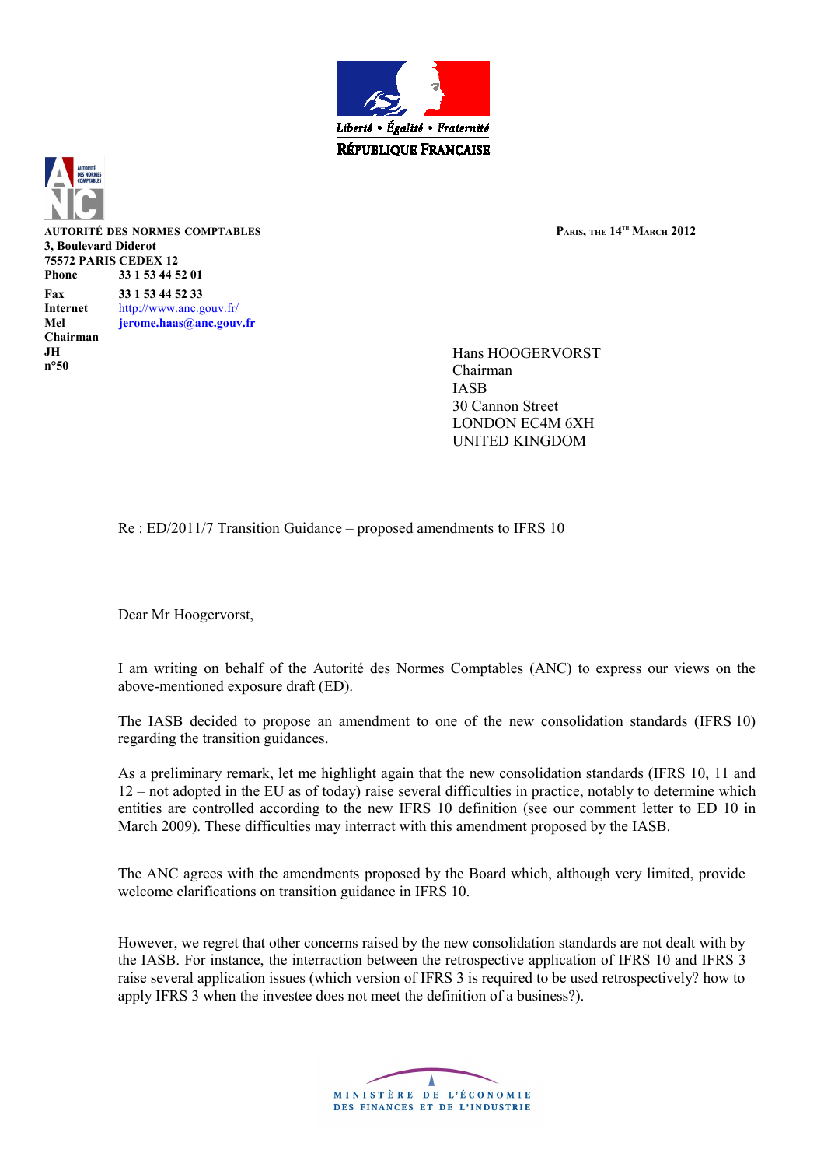



**AUTORITÉ DES NORMES COMPTABLES PARIS, THE 14TH MARCH 2012 3, Boulevard Diderot 75572 PARIS CEDEX 12 Phone 33 1 53 44 52 01 Fax 33 1 53 44 52 33 Internet** <http://www.anc.gouv.fr/> **Mel [jerome.haas@anc.gouv.fr](mailto:jerome.haas@anc.gouv.fr) Chairman JH n°50**

Hans HOOGERVORST Chairman IASB 30 Cannon Street LONDON EC4M 6XH UNITED KINGDOM

Re : ED/2011/7 Transition Guidance – proposed amendments to IFRS 10

Dear Mr Hoogervorst,

I am writing on behalf of the Autorité des Normes Comptables (ANC) to express our views on the above-mentioned exposure draft (ED).

The IASB decided to propose an amendment to one of the new consolidation standards (IFRS 10) regarding the transition guidances.

As a preliminary remark, let me highlight again that the new consolidation standards (IFRS 10, 11 and 12 – not adopted in the EU as of today) raise several difficulties in practice, notably to determine which entities are controlled according to the new IFRS 10 definition (see our comment letter to ED 10 in March 2009). These difficulties may interract with this amendment proposed by the IASB.

The ANC agrees with the amendments proposed by the Board which, although very limited, provide welcome clarifications on transition guidance in IFRS 10.

However, we regret that other concerns raised by the new consolidation standards are not dealt with by the IASB. For instance, the interraction between the retrospective application of IFRS 10 and IFRS 3 raise several application issues (which version of IFRS 3 is required to be used retrospectively? how to apply IFRS 3 when the investee does not meet the definition of a business?).

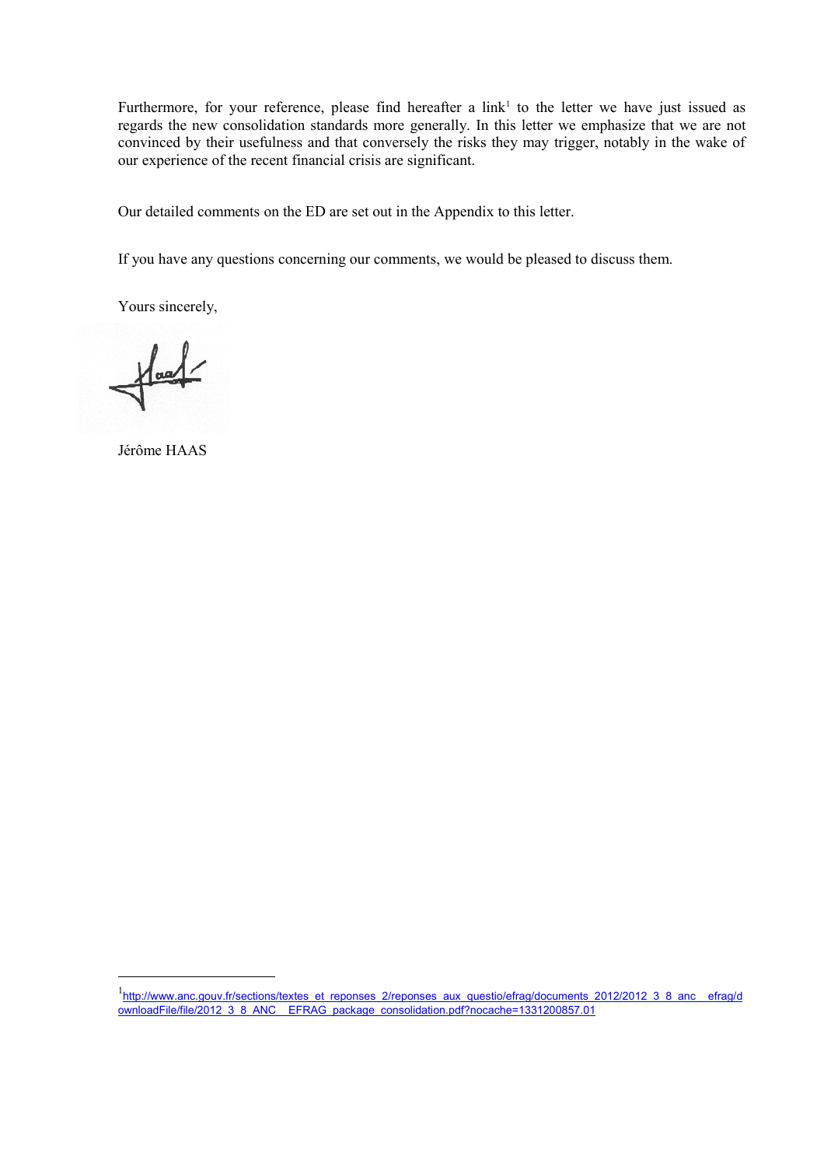Furthermore, for your reference, please find hereafter a link<sup>[1](#page-1-0)</sup> to the letter we have just issued as regards the new consolidation standards more generally. In this letter we emphasize that we are not convinced by their usefulness and that conversely the risks they may trigger, notably in the wake of our experience of the recent financial crisis are significant.

Our detailed comments on the ED are set out in the Appendix to this letter.

If you have any questions concerning our comments, we would be pleased to discuss them.

Yours sincerely,

 $\frac{1}{\sqrt{1-\frac{1}{2}}}$ 

Jérôme HAAS

<span id="page-1-0"></span><sup>1&</sup>lt;br>http://www.anc.gouv.fr/sections/textes\_et\_reponses\_2/reponses\_aux\_questio/efrag/documents\_2012/2012\_3\_8\_anc\_\_efrag/d [ownloadFile/file/2012\\_3\\_8\\_ANC\\_\\_EFRAG\\_package\\_consolidation.pdf?nocache=1331200857.01](http://www.anc.gouv.fr/sections/textes_et_reponses_2/reponses_aux_questio/efrag/documents_2012/2012_3_8_anc__efrag/downloadFile/file/2012_3_8_ANC__EFRAG_package_consolidation.pdf?nocache=1331200857.01)